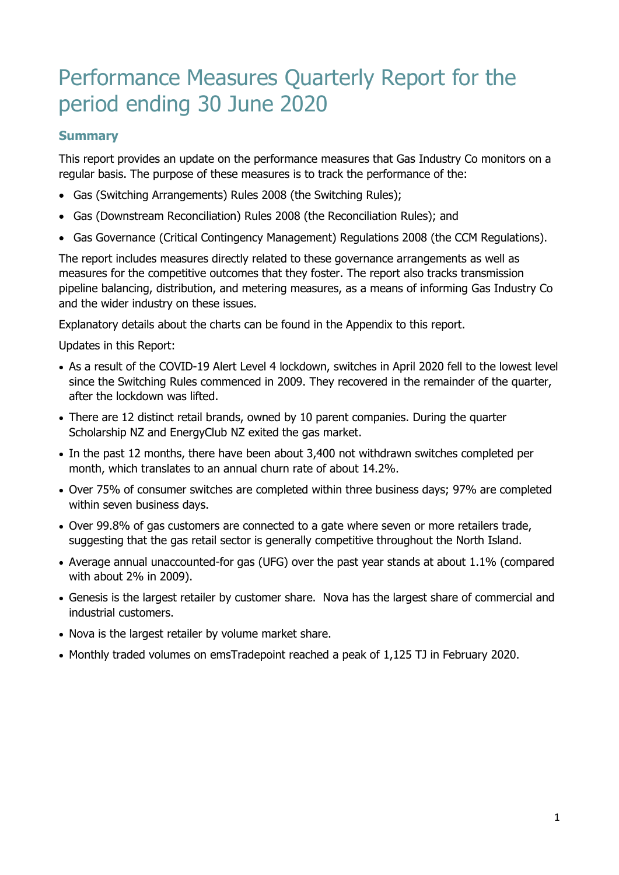# Performance Measures Quarterly Report for the period ending 30 June 2020

## **Summary**

This report provides an update on the performance measures that Gas Industry Co monitors on a regular basis. The purpose of these measures is to track the performance of the:

- Gas (Switching Arrangements) Rules 2008 (the Switching Rules);
- Gas (Downstream Reconciliation) Rules 2008 (the Reconciliation Rules); and
- Gas Governance (Critical Contingency Management) Regulations 2008 (the CCM Regulations).

The report includes measures directly related to these governance arrangements as well as measures for the competitive outcomes that they foster. The report also tracks transmission pipeline balancing, distribution, and metering measures, as a means of informing Gas Industry Co and the wider industry on these issues.

Explanatory details about the charts can be found in the Appendix to this report.

Updates in this Report:

- As a result of the COVID-19 Alert Level 4 lockdown, switches in April 2020 fell to the lowest level since the Switching Rules commenced in 2009. They recovered in the remainder of the quarter, after the lockdown was lifted.
- There are 12 distinct retail brands, owned by 10 parent companies. During the quarter Scholarship NZ and EnergyClub NZ exited the gas market.
- In the past 12 months, there have been about 3,400 not withdrawn switches completed per month, which translates to an annual churn rate of about 14.2%.
- Over 75% of consumer switches are completed within three business days; 97% are completed within seven business days.
- Over 99.8% of gas customers are connected to a gate where seven or more retailers trade, suggesting that the gas retail sector is generally competitive throughout the North Island.
- Average annual unaccounted-for gas (UFG) over the past year stands at about 1.1% (compared with about 2% in 2009).
- Genesis is the largest retailer by customer share. Nova has the largest share of commercial and industrial customers.
- Nova is the largest retailer by volume market share.
- Monthly traded volumes on emsTradepoint reached a peak of 1,125 TJ in February 2020.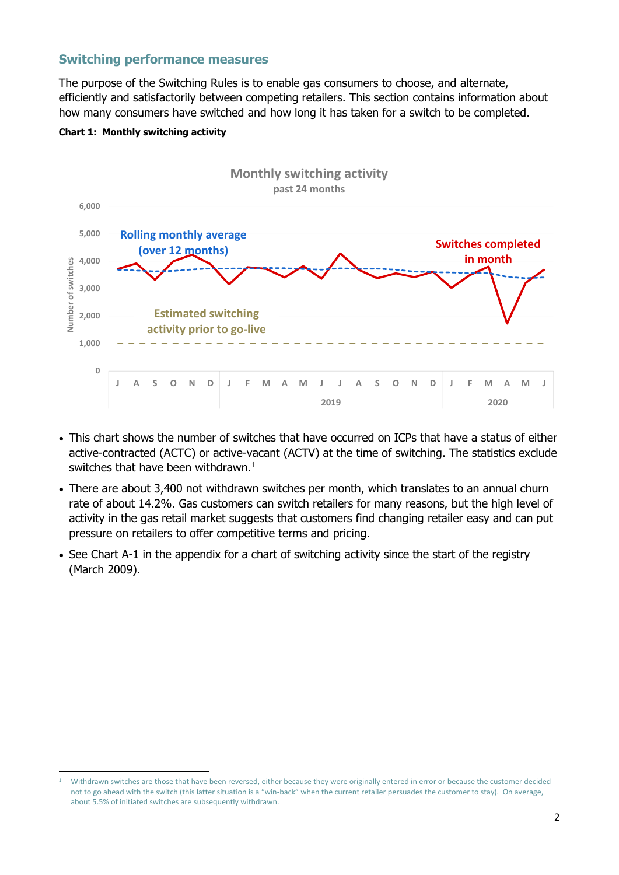## **Switching performance measures**

The purpose of the Switching Rules is to enable gas consumers to choose, and alternate, efficiently and satisfactorily between competing retailers. This section contains information about how many consumers have switched and how long it has taken for a switch to be completed.



#### **Chart 1: Monthly switching activity**

- This chart shows the number of switches that have occurred on ICPs that have a status of either active-contracted (ACTC) or active-vacant (ACTV) at the time of switching. The statistics exclude switches that have been withdrawn. $^1$
- There are about 3,400 not withdrawn switches per month, which translates to an annual churn rate of about 14.2%. Gas customers can switch retailers for many reasons, but the high level of activity in the gas retail market suggests that customers find changing retailer easy and can put pressure on retailers to offer competitive terms and pricing.
- See Chart A-1 in the appendix for a chart of switching activity since the start of the registry (March 2009).

<sup>1</sup> Withdrawn switches are those that have been reversed, either because they were originally entered in error or because the customer decided not to go ahead with the switch (this latter situation is a "win-back" when the current retailer persuades the customer to stay). On average, about 5.5% of initiated switches are subsequently withdrawn.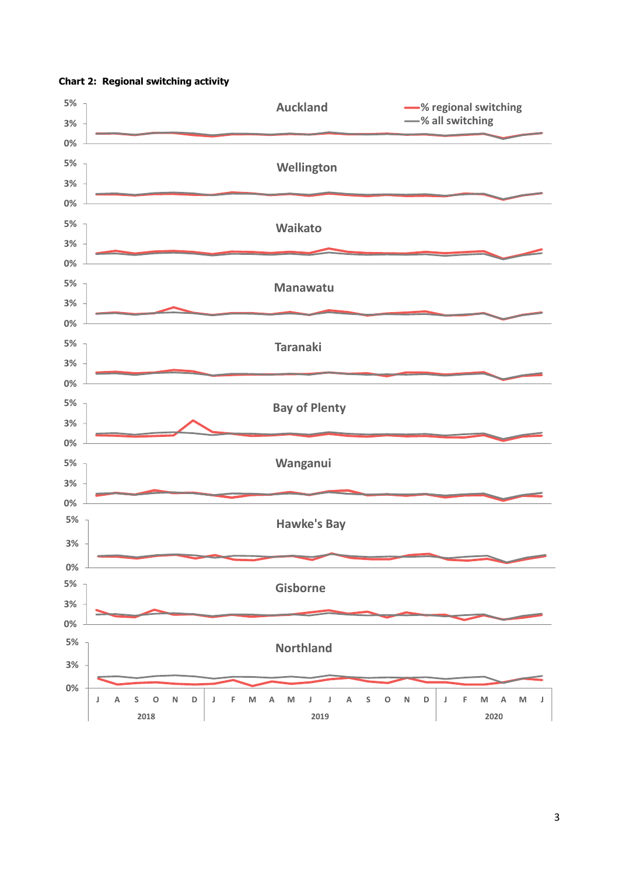

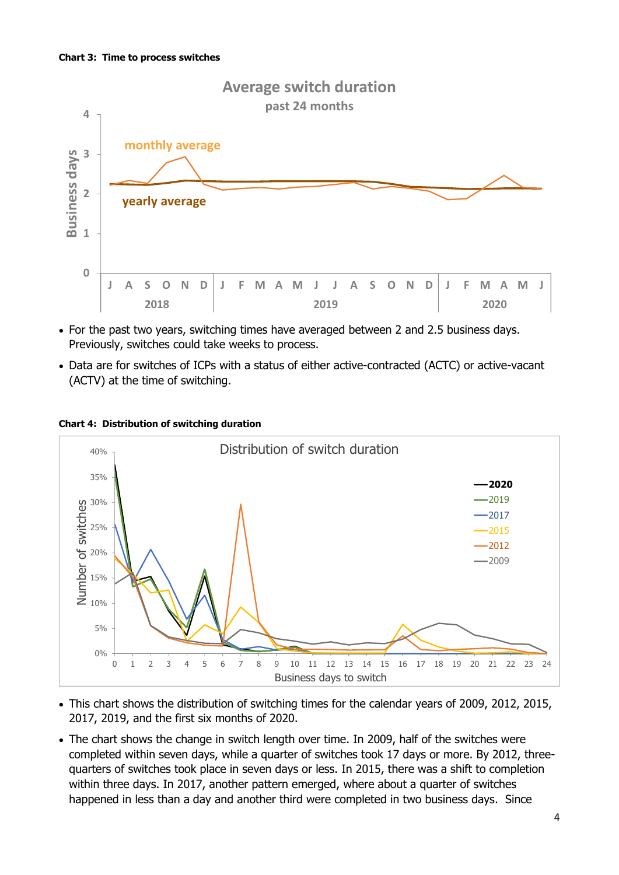

- For the past two years, switching times have averaged between 2 and 2.5 business days. Previously, switches could take weeks to process.
- Data are for switches of ICPs with a status of either active-contracted (ACTC) or active-vacant (ACTV) at the time of switching.



#### **Chart 4: Distribution of switching duration**

- This chart shows the distribution of switching times for the calendar years of 2009, 2012, 2015, 2017, 2019, and the first six months of 2020.
- The chart shows the change in switch length over time. In 2009, half of the switches were completed within seven days, while a quarter of switches took 17 days or more. By 2012, threequarters of switches took place in seven days or less. In 2015, there was a shift to completion within three days. In 2017, another pattern emerged, where about a quarter of switches happened in less than a day and another third were completed in two business days. Since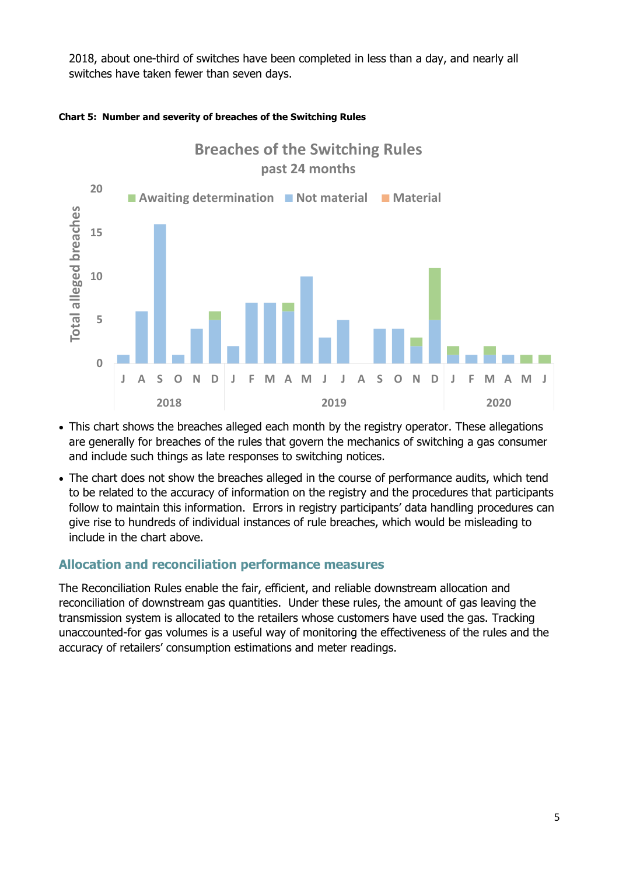2018, about one-third of switches have been completed in less than a day, and nearly all switches have taken fewer than seven days.



#### **Chart 5: Number and severity of breaches of the Switching Rules**

- This chart shows the breaches alleged each month by the registry operator. These allegations are generally for breaches of the rules that govern the mechanics of switching a gas consumer and include such things as late responses to switching notices.
- The chart does not show the breaches alleged in the course of performance audits, which tend to be related to the accuracy of information on the registry and the procedures that participants follow to maintain this information. Errors in registry participants' data handling procedures can give rise to hundreds of individual instances of rule breaches, which would be misleading to include in the chart above.

## **Allocation and reconciliation performance measures**

The Reconciliation Rules enable the fair, efficient, and reliable downstream allocation and reconciliation of downstream gas quantities. Under these rules, the amount of gas leaving the transmission system is allocated to the retailers whose customers have used the gas. Tracking unaccounted-for gas volumes is a useful way of monitoring the effectiveness of the rules and the accuracy of retailers' consumption estimations and meter readings.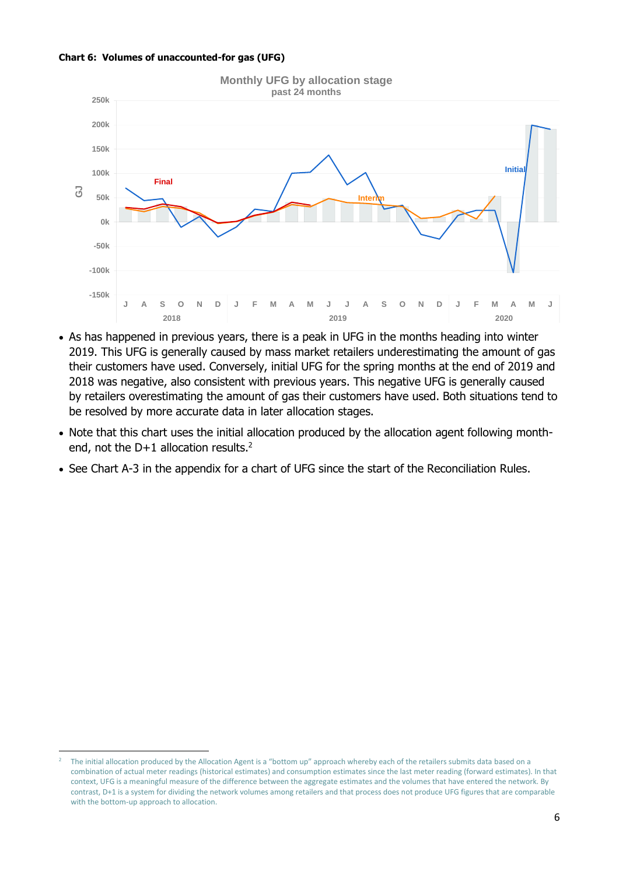



- As has happened in previous years, there is a peak in UFG in the months heading into winter 2019. This UFG is generally caused by mass market retailers underestimating the amount of gas their customers have used. Conversely, initial UFG for the spring months at the end of 2019 and 2018 was negative, also consistent with previous years. This negative UFG is generally caused by retailers overestimating the amount of gas their customers have used. Both situations tend to be resolved by more accurate data in later allocation stages.
- Note that this chart uses the initial allocation produced by the allocation agent following monthend, not the D+1 allocation results.<sup>2</sup>
- See Chart A-3 in the appendix for a chart of UFG since the start of the Reconciliation Rules.

<sup>2</sup> The initial allocation produced by the Allocation Agent is a "bottom up" approach whereby each of the retailers submits data based on a combination of actual meter readings (historical estimates) and consumption estimates since the last meter reading (forward estimates). In that context, UFG is a meaningful measure of the difference between the aggregate estimates and the volumes that have entered the network. By contrast, D+1 is a system for dividing the network volumes among retailers and that process does not produce UFG figures that are comparable with the bottom-up approach to allocation.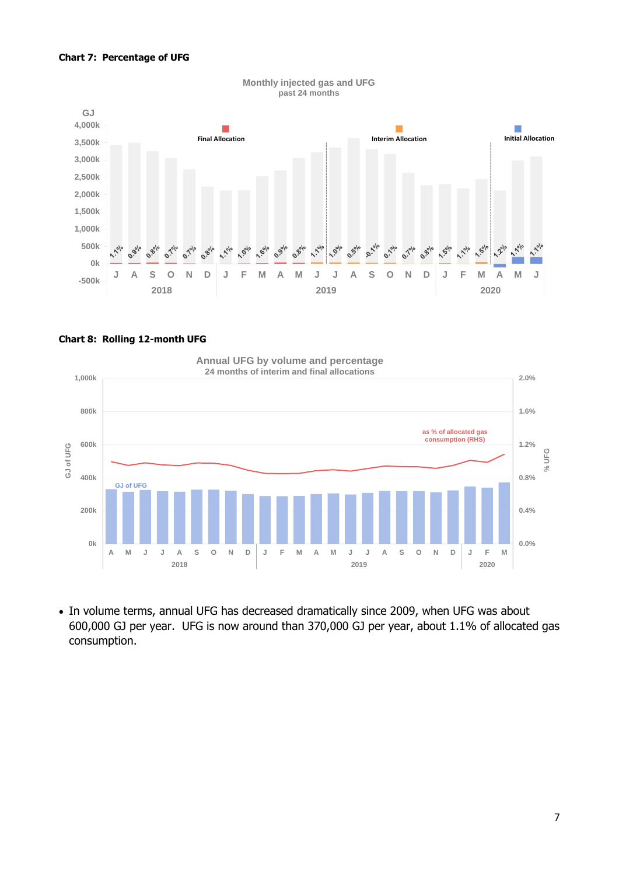#### **Chart 7: Percentage of UFG**



#### **Monthly injected gas and UFG past 24 months**

#### **Chart 8: Rolling 12-month UFG**

**GJ of UFG as % of allocated gas consumption (RHS) 0.0% 0.4% 0.8% 1.2% 1.6% 2.0% 0k 200k 400k 600k 800k 1,000k A M J J A S O N D J F M A M J J A S O N D J F M 200k**<br> **200k**<br> **200k**<br> **200k**<br> **2018**<br> **2018**<br> **2018**<br> **2018**<br> **2019**<br> **2019**<br> **2019**<br> **2020**<br> **2020**<br> **2020 Annual UFG by volume and percentage 24 months of interim and final allocations**

• In volume terms, annual UFG has decreased dramatically since 2009, when UFG was about 600,000 GJ per year. UFG is now around than 370,000 GJ per year, about 1.1% of allocated gas consumption.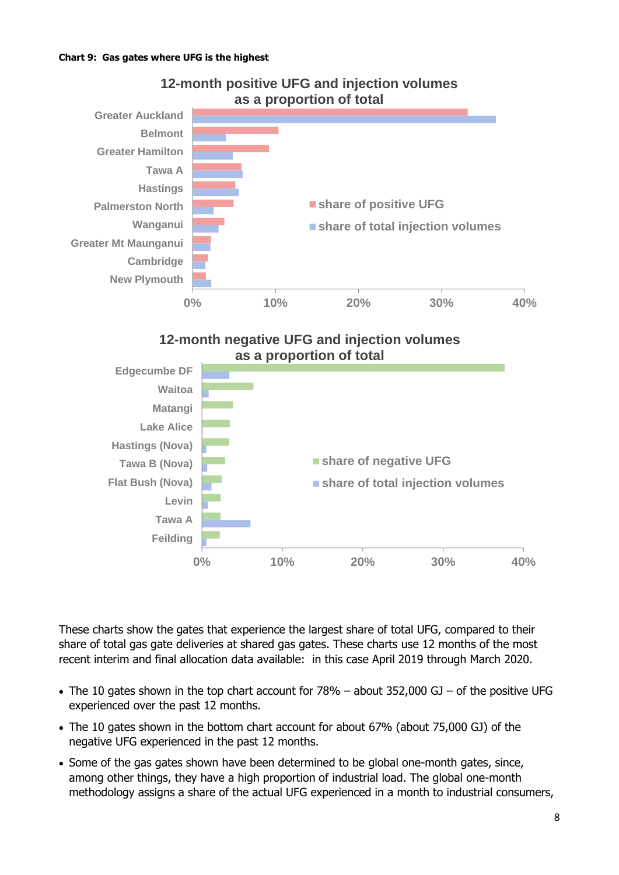

## **12-month positive UFG and injection volumes as a proportion of total**





These charts show the gates that experience the largest share of total UFG, compared to their share of total gas gate deliveries at shared gas gates. These charts use 12 months of the most recent interim and final allocation data available: in this case April 2019 through March 2020.

- The 10 gates shown in the top chart account for 78% about 352,000 GJ of the positive UFG experienced over the past 12 months.
- The 10 gates shown in the bottom chart account for about 67% (about 75,000 GJ) of the negative UFG experienced in the past 12 months.
- Some of the gas gates shown have been determined to be global one-month gates, since, among other things, they have a high proportion of industrial load. The global one-month methodology assigns a share of the actual UFG experienced in a month to industrial consumers,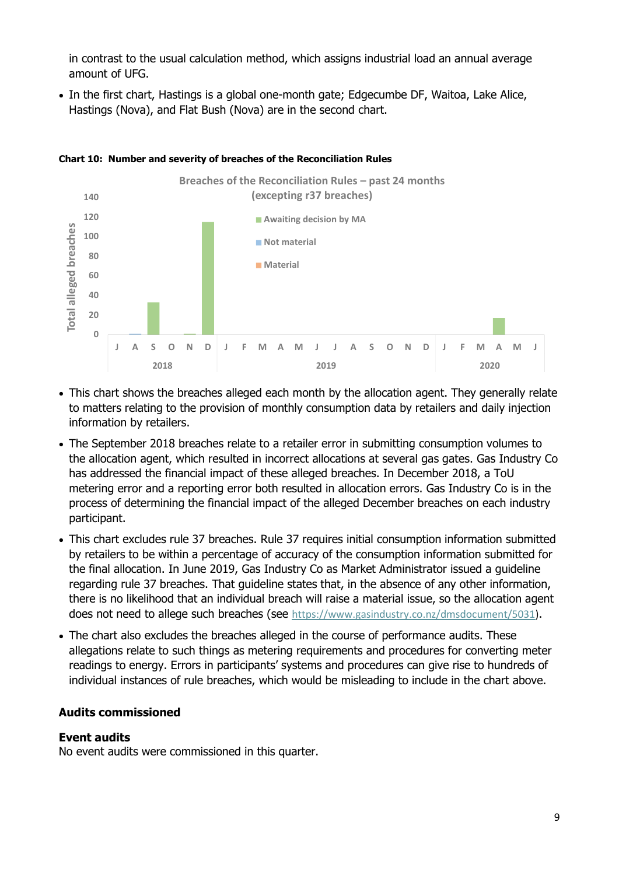in contrast to the usual calculation method, which assigns industrial load an annual average amount of UFG.

• In the first chart, Hastings is a global one-month gate; Edgecumbe DF, Waitoa, Lake Alice, Hastings (Nova), and Flat Bush (Nova) are in the second chart.



#### **Chart 10: Number and severity of breaches of the Reconciliation Rules**

- This chart shows the breaches alleged each month by the allocation agent. They generally relate to matters relating to the provision of monthly consumption data by retailers and daily injection information by retailers.
- The September 2018 breaches relate to a retailer error in submitting consumption volumes to the allocation agent, which resulted in incorrect allocations at several gas gates. Gas Industry Co has addressed the financial impact of these alleged breaches. In December 2018, a ToU metering error and a reporting error both resulted in allocation errors. Gas Industry Co is in the process of determining the financial impact of the alleged December breaches on each industry participant.
- This chart excludes rule 37 breaches. Rule 37 requires initial consumption information submitted by retailers to be within a percentage of accuracy of the consumption information submitted for the final allocation. In June 2019, Gas Industry Co as Market Administrator issued a guideline regarding rule 37 breaches. That guideline states that, in the absence of any other information, there is no likelihood that an individual breach will raise a material issue, so the allocation agent does not need to allege such breaches (see [https://www.gasindustry.co.nz/dmsdocument/5031\)](https://www.gasindustry.co.nz/dmsdocument/5031).
- The chart also excludes the breaches alleged in the course of performance audits. These allegations relate to such things as metering requirements and procedures for converting meter readings to energy. Errors in participants' systems and procedures can give rise to hundreds of individual instances of rule breaches, which would be misleading to include in the chart above.

## **Audits commissioned**

## **Event audits**

No event audits were commissioned in this quarter.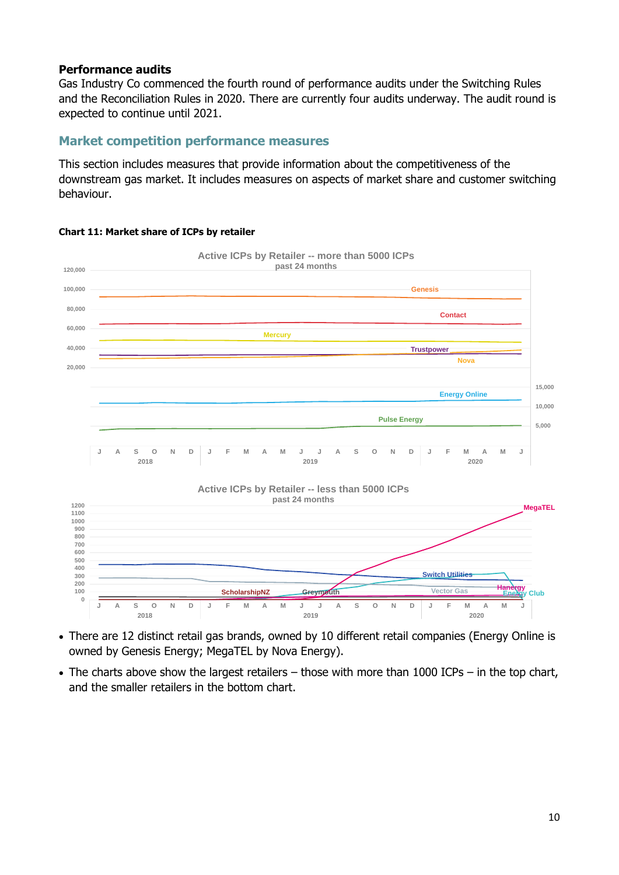## **Performance audits**

Gas Industry Co commenced the fourth round of performance audits under the Switching Rules and the Reconciliation Rules in 2020. There are currently four audits underway. The audit round is expected to continue until 2021.

## **Market competition performance measures**

This section includes measures that provide information about the competitiveness of the downstream gas market. It includes measures on aspects of market share and customer switching behaviour.



#### **Chart 11: Market share of ICPs by retailer**

• There are 12 distinct retail gas brands, owned by 10 different retail companies (Energy Online is owned by Genesis Energy; MegaTEL by Nova Energy).

**2018 2019 2020**

• The charts above show the largest retailers – those with more than 1000 ICPs – in the top chart, and the smaller retailers in the bottom chart.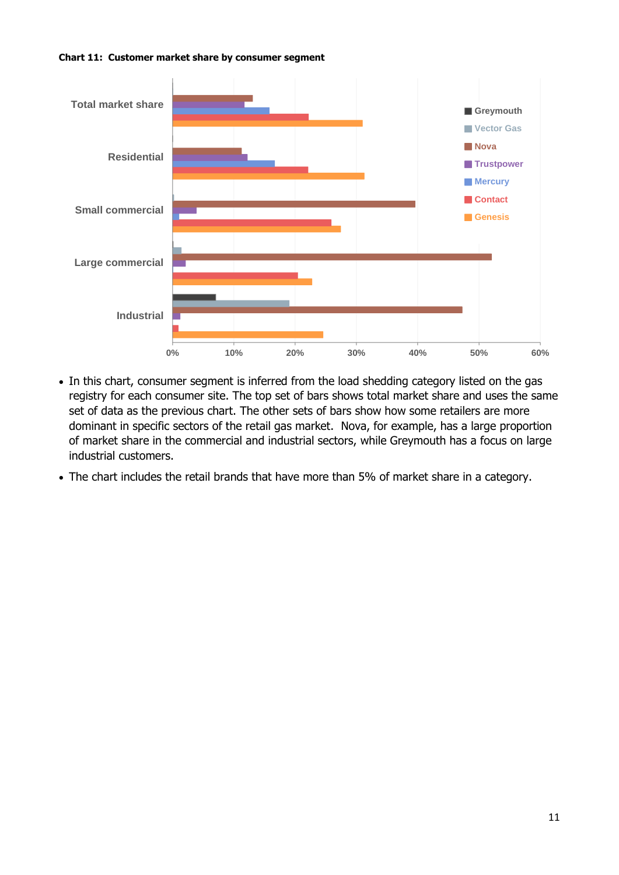<span id="page-10-0"></span>



- In this chart, consumer segment is inferred from the load shedding category listed on the gas registry for each consumer site. The top set of bars shows total market share and uses the same set of data as the previous chart. The other sets of bars show how some retailers are more dominant in specific sectors of the retail gas market. Nova, for example, has a large proportion of market share in the commercial and industrial sectors, while Greymouth has a focus on large industrial customers.
- The chart includes the retail brands that have more than 5% of market share in a category.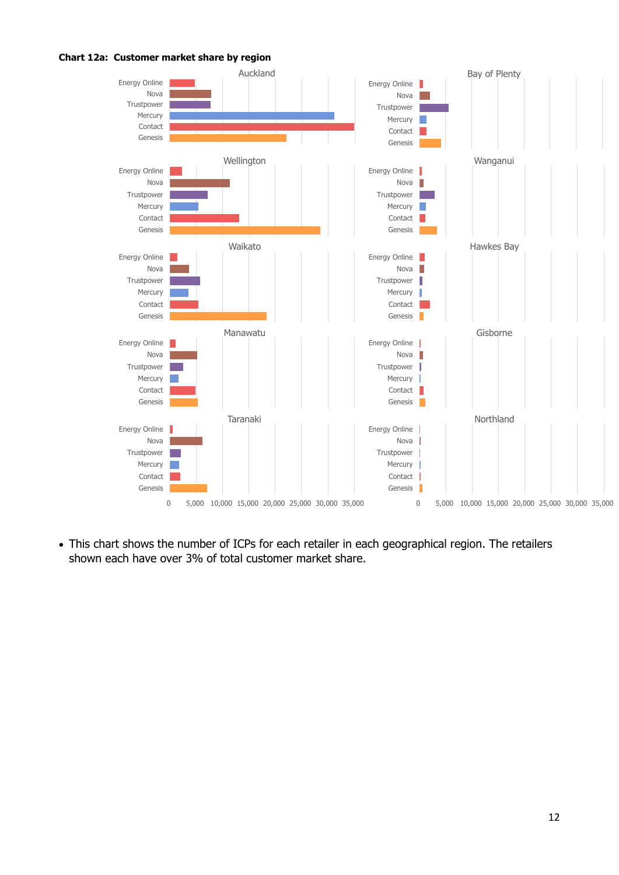



• This chart shows the number of ICPs for each retailer in each geographical region. The retailers shown each have over 3% of total customer market share.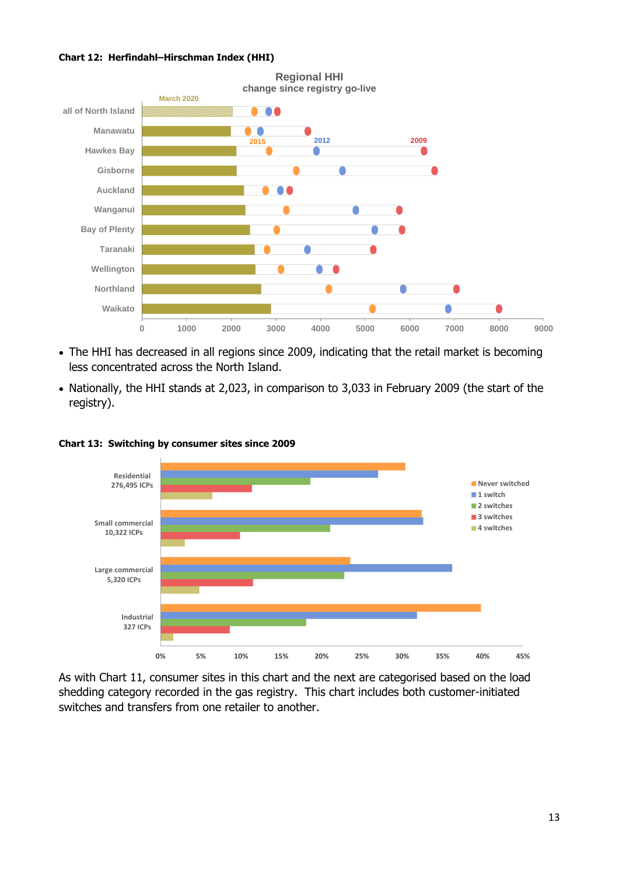#### **Chart 12: Herfindahl–Hirschman Index (HHI)**



- The HHI has decreased in all regions since 2009, indicating that the retail market is becoming less concentrated across the North Island.
- Nationally, the HHI stands at 2,023, in comparison to 3,033 in February 2009 (the start of the registry).



**Chart 13: Switching by consumer sites since 2009**

As with [Chart 11,](#page-10-0) consumer sites in this chart and the next are categorised based on the load shedding category recorded in the gas registry. This chart includes both customer-initiated switches and transfers from one retailer to another.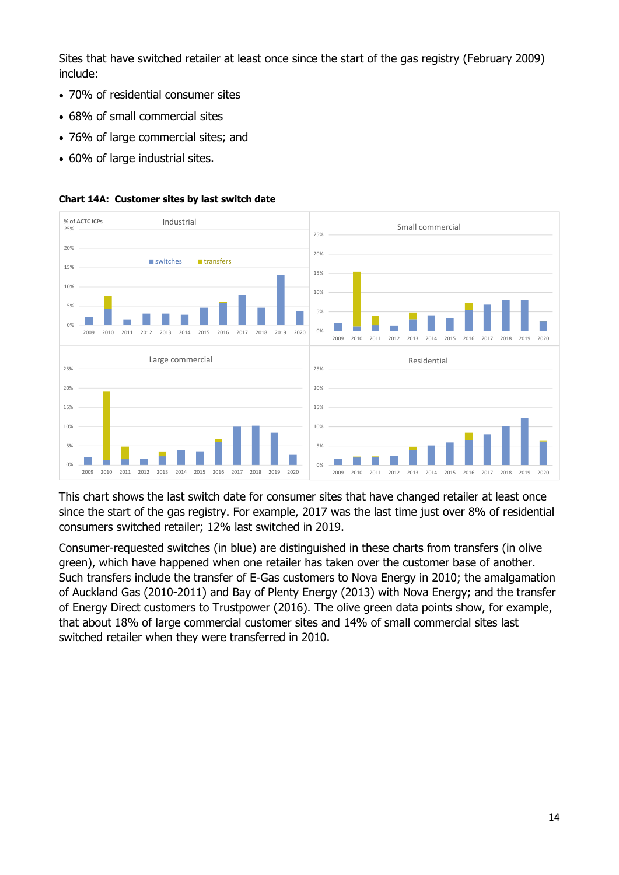Sites that have switched retailer at least once since the start of the gas registry (February 2009) include:

- 70% of residential consumer sites
- 68% of small commercial sites
- 76% of large commercial sites; and
- 60% of large industrial sites.



#### **Chart 14A: Customer sites by last switch date**

This chart shows the last switch date for consumer sites that have changed retailer at least once since the start of the gas registry. For example, 2017 was the last time just over 8% of residential consumers switched retailer; 12% last switched in 2019.

Consumer-requested switches (in blue) are distinguished in these charts from transfers (in olive green), which have happened when one retailer has taken over the customer base of another. Such transfers include the transfer of E-Gas customers to Nova Energy in 2010; the amalgamation of Auckland Gas (2010-2011) and Bay of Plenty Energy (2013) with Nova Energy; and the transfer of Energy Direct customers to Trustpower (2016). The olive green data points show, for example, that about 18% of large commercial customer sites and 14% of small commercial sites last switched retailer when they were transferred in 2010.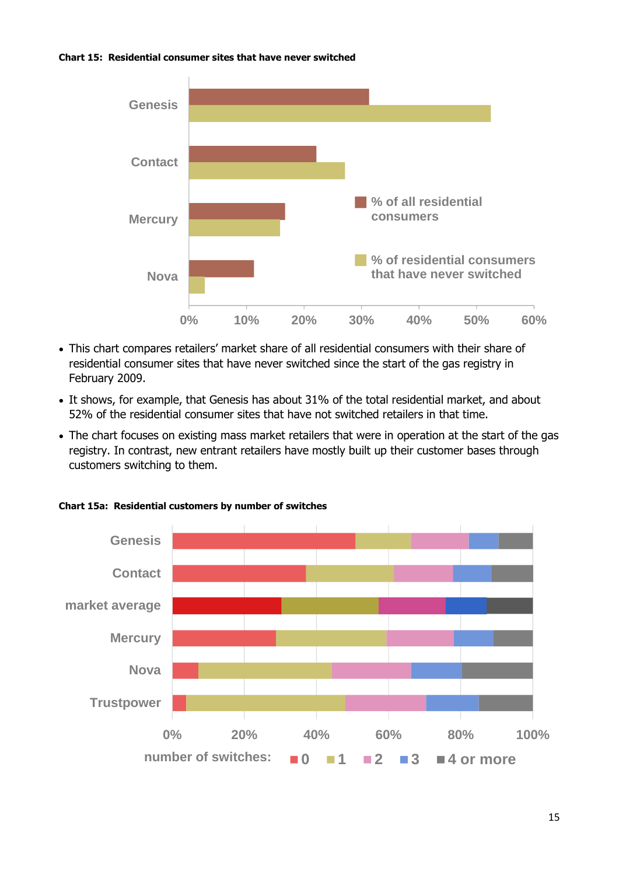#### **Chart 15: Residential consumer sites that have never switched**



- This chart compares retailers' market share of all residential consumers with their share of residential consumer sites that have never switched since the start of the gas registry in February 2009.
- It shows, for example, that Genesis has about 31% of the total residential market, and about 52% of the residential consumer sites that have not switched retailers in that time.
- The chart focuses on existing mass market retailers that were in operation at the start of the gas registry. In contrast, new entrant retailers have mostly built up their customer bases through customers switching to them.



**Chart 15a: Residential customers by number of switches**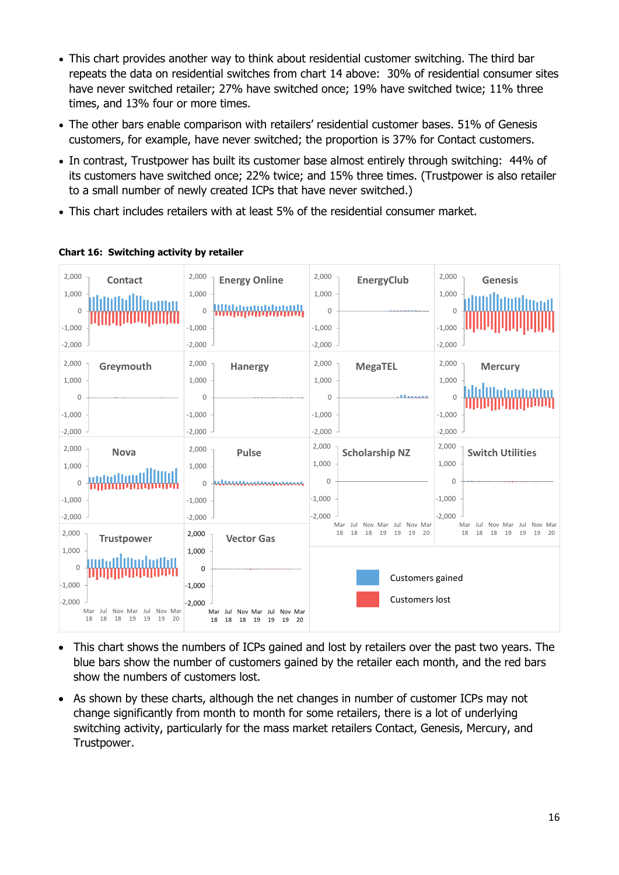- This chart provides another way to think about residential customer switching. The third bar repeats the data on residential switches from chart 14 above: 30% of residential consumer sites have never switched retailer; 27% have switched once; 19% have switched twice; 11% three times, and 13% four or more times.
- The other bars enable comparison with retailers' residential customer bases. 51% of Genesis customers, for example, have never switched; the proportion is 37% for Contact customers.
- In contrast, Trustpower has built its customer base almost entirely through switching: 44% of its customers have switched once; 22% twice; and 15% three times. (Trustpower is also retailer to a small number of newly created ICPs that have never switched.)
- This chart includes retailers with at least 5% of the residential consumer market.

| 2,000<br>1,000<br>$\Omega$<br>$-1,000$<br>$-2,000$ | <b>Contact</b>                                                                                   | 2,000<br>1,000<br>$\mathbf{0}$<br>$-1,000$<br>$-2,000$ | <b>Energy Online</b><br><u>                           </u>                                       | 2,000<br>1,000<br>$\Omega$<br>$-1,000$<br>$-2,000$ | EnergyClub                                                                          | 2,000<br>1,000<br>$\Omega$<br>$-1,000$<br>$-2,000$ | <b>Genesis</b>                         |
|----------------------------------------------------|--------------------------------------------------------------------------------------------------|--------------------------------------------------------|--------------------------------------------------------------------------------------------------|----------------------------------------------------|-------------------------------------------------------------------------------------|----------------------------------------------------|----------------------------------------|
| 2,000<br>1,000<br>$\Omega$                         | Greymouth                                                                                        | 2,000<br>1,000<br>$\Omega$                             | <b>Hanergy</b>                                                                                   | 2,000<br>1,000<br>$\Omega$                         | <b>MegaTEL</b>                                                                      | 2,000<br>1,000<br>U                                | <b>Mercury</b>                         |
| $-1,000$<br>$-2,000$                               |                                                                                                  | $-1,000$<br>$-2,000$                                   |                                                                                                  | $-1,000$<br>$-2,000$                               |                                                                                     | $-1,000$<br>$-2,000$                               |                                        |
| 2,000<br>1,000<br>$\mathbf{0}$                     | <b>Nova</b>                                                                                      | 2,000<br>1,000<br>$\Omega$                             | <b>Pulse</b>                                                                                     | 2,000<br>1,000<br>$\Omega$                         | <b>Scholarship NZ</b>                                                               | 2,000<br>1,000<br>$\Omega$                         | <b>Switch Utilities</b>                |
| $-1,000$<br>$-2,000$                               |                                                                                                  | $-1,000$<br>$-2,000$                                   |                                                                                                  | $-1,000$<br>$-2,000$                               | Nov Mar<br>Mar Jul Nov Mar Jul                                                      | $-1,000$<br>$-2.000$                               | Mar<br>Jul Nov Mar<br>Jul Nov Mar      |
| 2,000<br>1,000<br>$\Omega$<br>$-1,000$<br>$-2.000$ | <b>Trustpower</b><br>Nov Mar Jul Nov Mar<br>Mar<br>Jul<br>18<br>18<br>18<br>19<br>19<br>19<br>20 | 2,000<br>1,000<br>$\mathbf 0$<br>$-1,000$<br>$-2.000$  | <b>Vector Gas</b><br>Mar<br>Jul<br>Nov Mar Jul Nov Mar<br>18<br>18<br>18<br>19<br>19<br>19<br>20 |                                                    | 18<br>18<br>19<br>19<br>20<br>18<br>19<br>Customers gained<br><b>Customers lost</b> |                                                    | 18<br>19<br>19<br>18<br>18<br>19<br>20 |

**Chart 16: Switching activity by retailer**

- This chart shows the numbers of ICPs gained and lost by retailers over the past two years. The blue bars show the number of customers gained by the retailer each month, and the red bars show the numbers of customers lost.
- As shown by these charts, although the net changes in number of customer ICPs may not change significantly from month to month for some retailers, there is a lot of underlying switching activity, particularly for the mass market retailers Contact, Genesis, Mercury, and Trustpower.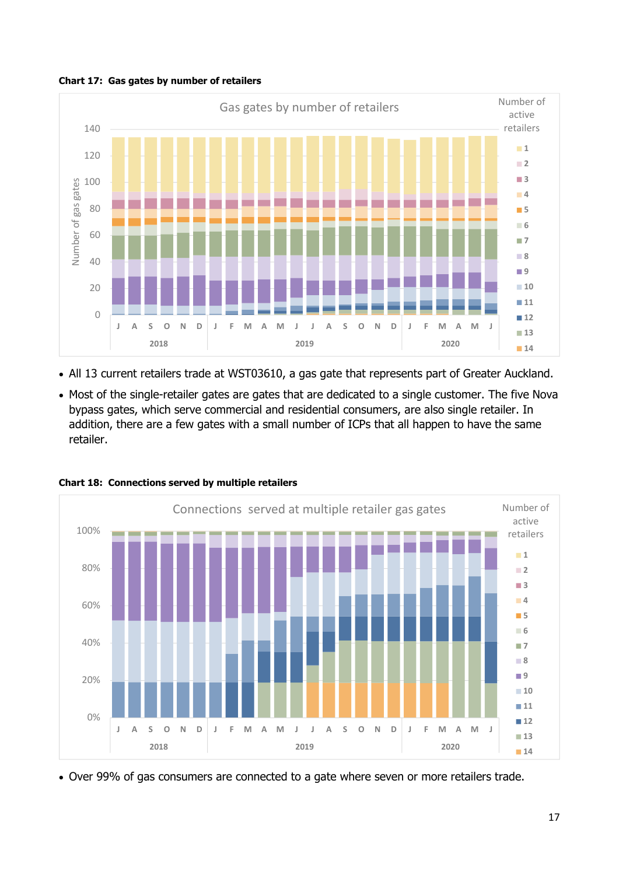



- All 13 current retailers trade at WST03610, a gas gate that represents part of Greater Auckland.
- Most of the single-retailer gates are gates that are dedicated to a single customer. The five Nova bypass gates, which serve commercial and residential consumers, are also single retailer. In addition, there are a few gates with a small number of ICPs that all happen to have the same retailer.



**Chart 18: Connections served by multiple retailers**

• Over 99% of gas consumers are connected to a gate where seven or more retailers trade.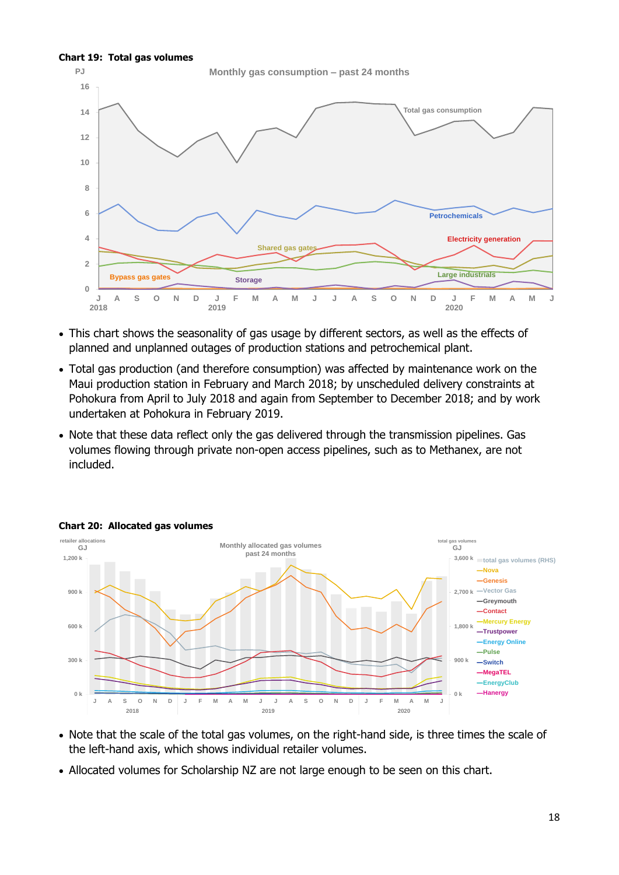#### **Chart 19: Total gas volumes**



- This chart shows the seasonality of gas usage by different sectors, as well as the effects of planned and unplanned outages of production stations and petrochemical plant.
- Total gas production (and therefore consumption) was affected by maintenance work on the Maui production station in February and March 2018; by unscheduled delivery constraints at Pohokura from April to July 2018 and again from September to December 2018; and by work undertaken at Pohokura in February 2019.
- Note that these data reflect only the gas delivered through the transmission pipelines. Gas volumes flowing through private non-open access pipelines, such as to Methanex, are not included.



#### **Chart 20: Allocated gas volumes**

- Note that the scale of the total gas volumes, on the right-hand side, is three times the scale of the left-hand axis, which shows individual retailer volumes.
- Allocated volumes for Scholarship NZ are not large enough to be seen on this chart.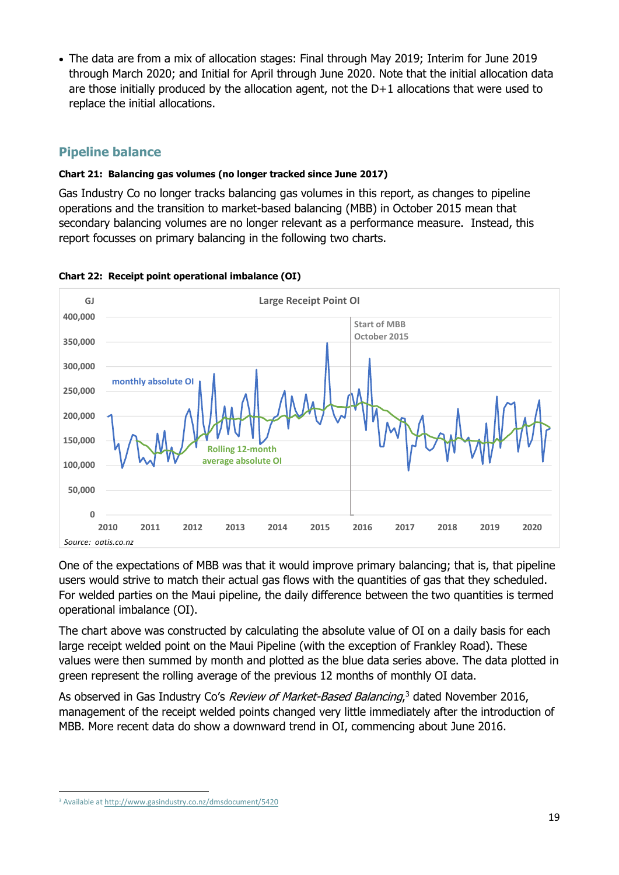• The data are from a mix of allocation stages: Final through May 2019; Interim for June 2019 through March 2020; and Initial for April through June 2020. Note that the initial allocation data are those initially produced by the allocation agent, not the D+1 allocations that were used to replace the initial allocations.

# **Pipeline balance**

## **Chart 21: Balancing gas volumes (no longer tracked since June 2017)**

Gas Industry Co no longer tracks balancing gas volumes in this report, as changes to pipeline operations and the transition to market-based balancing (MBB) in October 2015 mean that secondary balancing volumes are no longer relevant as a performance measure. Instead, this report focusses on primary balancing in the following two charts.



## **Chart 22: Receipt point operational imbalance (OI)**

One of the expectations of MBB was that it would improve primary balancing; that is, that pipeline users would strive to match their actual gas flows with the quantities of gas that they scheduled. For welded parties on the Maui pipeline, the daily difference between the two quantities is termed operational imbalance (OI).

The chart above was constructed by calculating the absolute value of OI on a daily basis for each large receipt welded point on the Maui Pipeline (with the exception of Frankley Road). These values were then summed by month and plotted as the blue data series above. The data plotted in green represent the rolling average of the previous 12 months of monthly OI data.

As observed in Gas Industry Co's Review of Market-Based Balancing,<sup>3</sup> dated November 2016, management of the receipt welded points changed very little immediately after the introduction of MBB. More recent data do show a downward trend in OI, commencing about June 2016.

<sup>3</sup> Available at<http://www.gasindustry.co.nz/dmsdocument/5420>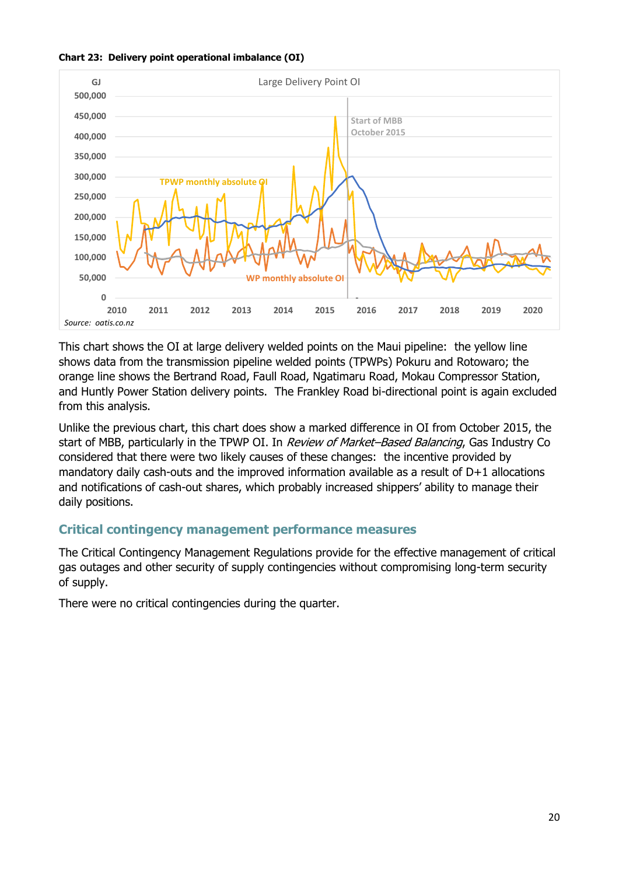



This chart shows the OI at large delivery welded points on the Maui pipeline: the yellow line shows data from the transmission pipeline welded points (TPWPs) Pokuru and Rotowaro; the orange line shows the Bertrand Road, Faull Road, Ngatimaru Road, Mokau Compressor Station, and Huntly Power Station delivery points. The Frankley Road bi-directional point is again excluded from this analysis.

Unlike the previous chart, this chart does show a marked difference in OI from October 2015, the start of MBB, particularly in the TPWP OI. In Review of Market-Based Balancing, Gas Industry Co considered that there were two likely causes of these changes: the incentive provided by mandatory daily cash-outs and the improved information available as a result of D+1 allocations and notifications of cash-out shares, which probably increased shippers' ability to manage their daily positions.

## **Critical contingency management performance measures**

The Critical Contingency Management Regulations provide for the effective management of critical gas outages and other security of supply contingencies without compromising long-term security of supply.

There were no critical contingencies during the quarter.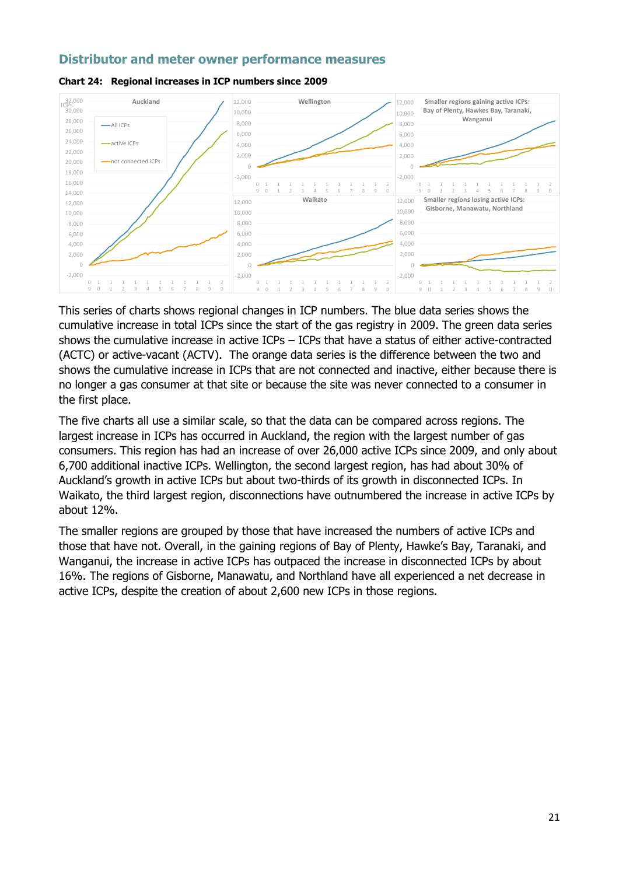## **Distributor and meter owner performance measures**





This series of charts shows regional changes in ICP numbers. The blue data series shows the cumulative increase in total ICPs since the start of the gas registry in 2009. The green data series shows the cumulative increase in active ICPs – ICPs that have a status of either active-contracted (ACTC) or active-vacant (ACTV). The orange data series is the difference between the two and shows the cumulative increase in ICPs that are not connected and inactive, either because there is no longer a gas consumer at that site or because the site was never connected to a consumer in the first place.

The five charts all use a similar scale, so that the data can be compared across regions. The largest increase in ICPs has occurred in Auckland, the region with the largest number of gas consumers. This region has had an increase of over 26,000 active ICPs since 2009, and only about 6,700 additional inactive ICPs. Wellington, the second largest region, has had about 30% of Auckland's growth in active ICPs but about two-thirds of its growth in disconnected ICPs. In Waikato, the third largest region, disconnections have outnumbered the increase in active ICPs by about 12%.

The smaller regions are grouped by those that have increased the numbers of active ICPs and those that have not. Overall, in the gaining regions of Bay of Plenty, Hawke's Bay, Taranaki, and Wanganui, the increase in active ICPs has outpaced the increase in disconnected ICPs by about 16%. The regions of Gisborne, Manawatu, and Northland have all experienced a net decrease in active ICPs, despite the creation of about 2,600 new ICPs in those regions.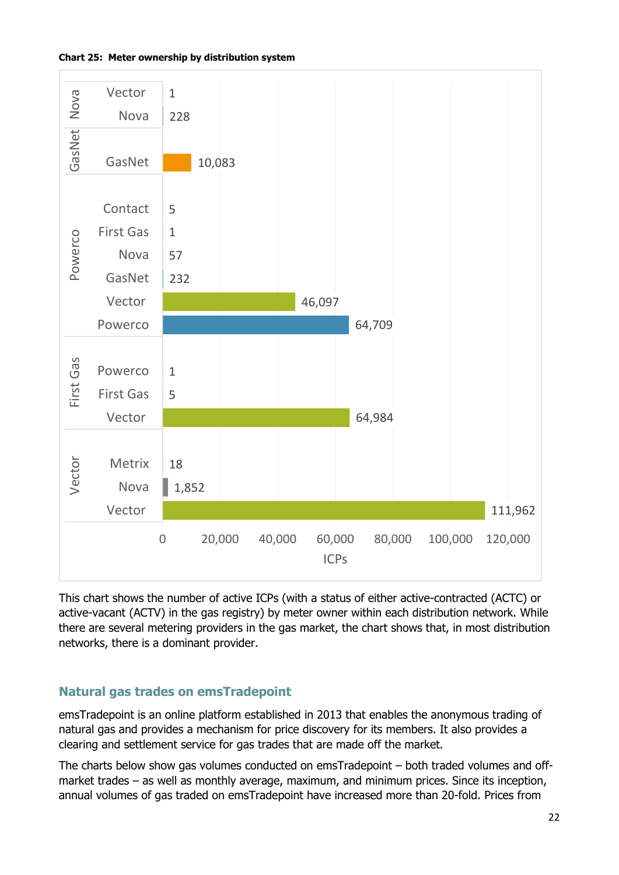



This chart shows the number of active ICPs (with a status of either active-contracted (ACTC) or active-vacant (ACTV) in the gas registry) by meter owner within each distribution network. While there are several metering providers in the gas market, the chart shows that, in most distribution networks, there is a dominant provider.

# **Natural gas trades on emsTradepoint**

emsTradepoint is an online platform established in 2013 that enables the anonymous trading of natural gas and provides a mechanism for price discovery for its members. It also provides a clearing and settlement service for gas trades that are made off the market.

The charts below show gas volumes conducted on emsTradepoint – both traded volumes and offmarket trades – as well as monthly average, maximum, and minimum prices. Since its inception, annual volumes of gas traded on emsTradepoint have increased more than 20-fold. Prices from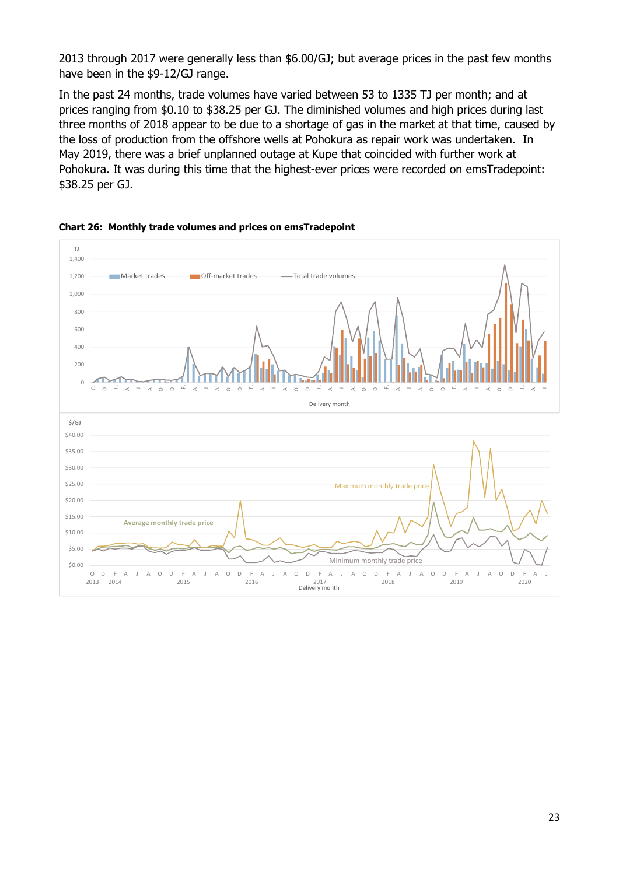2013 through 2017 were generally less than \$6.00/GJ; but average prices in the past few months have been in the \$9-12/GJ range.

In the past 24 months, trade volumes have varied between 53 to 1335 TJ per month; and at prices ranging from \$0.10 to \$38.25 per GJ. The diminished volumes and high prices during last three months of 2018 appear to be due to a shortage of gas in the market at that time, caused by the loss of production from the offshore wells at Pohokura as repair work was undertaken. In May 2019, there was a brief unplanned outage at Kupe that coincided with further work at Pohokura. It was during this time that the highest-ever prices were recorded on emsTradepoint: \$38.25 per GJ.



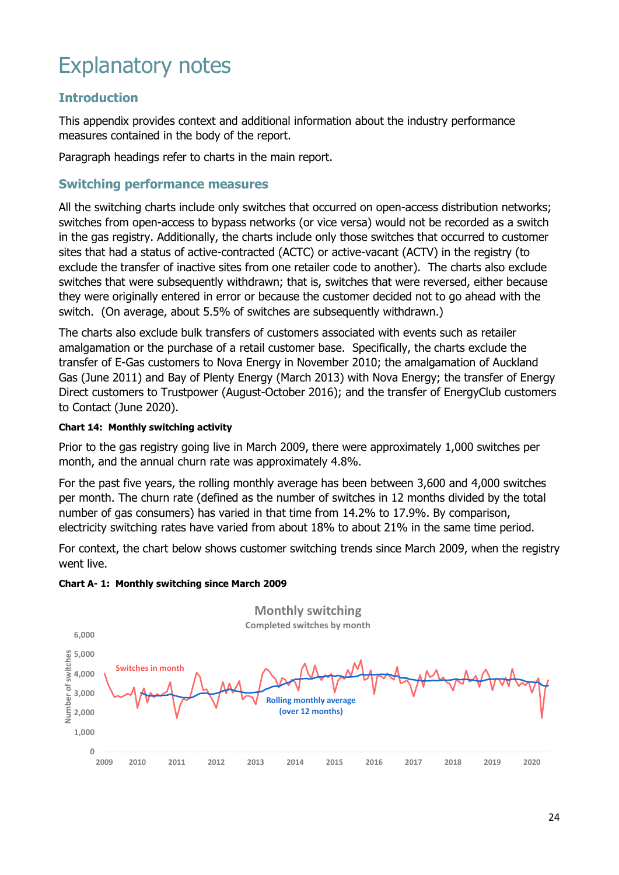# Explanatory notes

# **Introduction**

This appendix provides context and additional information about the industry performance measures contained in the body of the report.

Paragraph headings refer to charts in the main report.

## **Switching performance measures**

All the switching charts include only switches that occurred on open-access distribution networks; switches from open-access to bypass networks (or vice versa) would not be recorded as a switch in the gas registry. Additionally, the charts include only those switches that occurred to customer sites that had a status of active-contracted (ACTC) or active-vacant (ACTV) in the registry (to exclude the transfer of inactive sites from one retailer code to another). The charts also exclude switches that were subsequently withdrawn; that is, switches that were reversed, either because they were originally entered in error or because the customer decided not to go ahead with the switch. (On average, about 5.5% of switches are subsequently withdrawn.)

The charts also exclude bulk transfers of customers associated with events such as retailer amalgamation or the purchase of a retail customer base. Specifically, the charts exclude the transfer of E-Gas customers to Nova Energy in November 2010; the amalgamation of Auckland Gas (June 2011) and Bay of Plenty Energy (March 2013) with Nova Energy; the transfer of Energy Direct customers to Trustpower (August-October 2016); and the transfer of EnergyClub customers to Contact (June 2020).

#### **Chart 14: Monthly switching activity**

Prior to the gas registry going live in March 2009, there were approximately 1,000 switches per month, and the annual churn rate was approximately 4.8%.

For the past five years, the rolling monthly average has been between 3,600 and 4,000 switches per month. The churn rate (defined as the number of switches in 12 months divided by the total number of gas consumers) has varied in that time from 14.2% to 17.9%. By comparison, electricity switching rates have varied from about 18% to about 21% in the same time period.

For context, the chart below shows customer switching trends since March 2009, when the registry went live.



**Chart A- 1: Monthly switching since March 2009**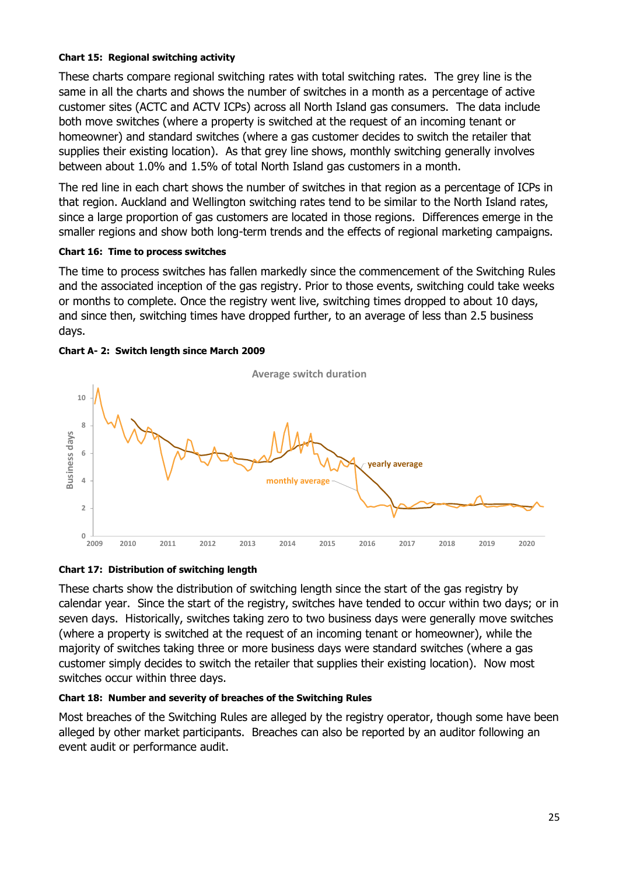#### **Chart 15: Regional switching activity**

These charts compare regional switching rates with total switching rates. The grey line is the same in all the charts and shows the number of switches in a month as a percentage of active customer sites (ACTC and ACTV ICPs) across all North Island gas consumers. The data include both move switches (where a property is switched at the request of an incoming tenant or homeowner) and standard switches (where a gas customer decides to switch the retailer that supplies their existing location). As that grey line shows, monthly switching generally involves between about 1.0% and 1.5% of total North Island gas customers in a month.

The red line in each chart shows the number of switches in that region as a percentage of ICPs in that region. Auckland and Wellington switching rates tend to be similar to the North Island rates, since a large proportion of gas customers are located in those regions. Differences emerge in the smaller regions and show both long-term trends and the effects of regional marketing campaigns.

#### **Chart 16: Time to process switches**

The time to process switches has fallen markedly since the commencement of the Switching Rules and the associated inception of the gas registry. Prior to those events, switching could take weeks or months to complete. Once the registry went live, switching times dropped to about 10 days, and since then, switching times have dropped further, to an average of less than 2.5 business days.







These charts show the distribution of switching length since the start of the gas registry by calendar year. Since the start of the registry, switches have tended to occur within two days; or in seven days. Historically, switches taking zero to two business days were generally move switches (where a property is switched at the request of an incoming tenant or homeowner), while the majority of switches taking three or more business days were standard switches (where a gas customer simply decides to switch the retailer that supplies their existing location). Now most switches occur within three days.

#### **Chart 18: Number and severity of breaches of the Switching Rules**

Most breaches of the Switching Rules are alleged by the registry operator, though some have been alleged by other market participants. Breaches can also be reported by an auditor following an event audit or performance audit.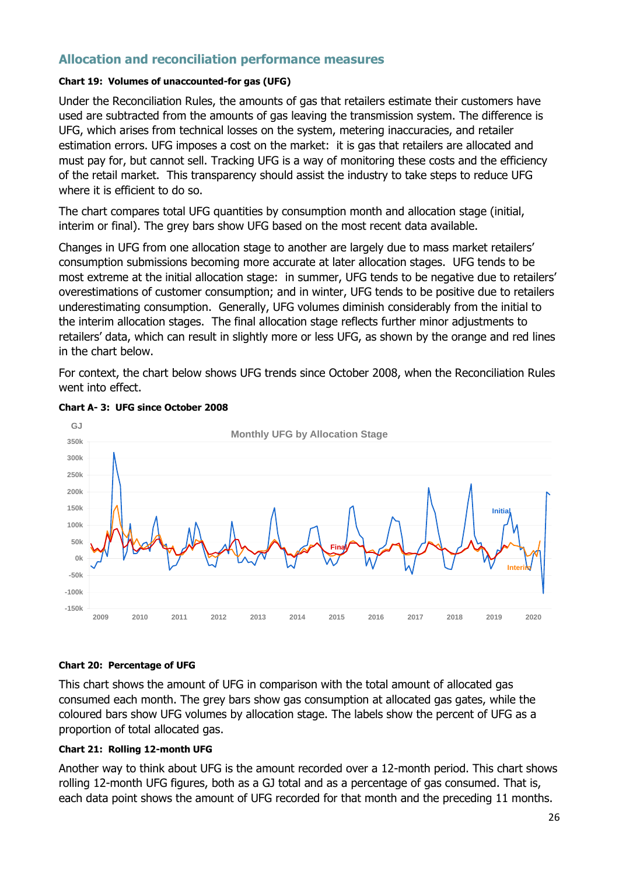## **Allocation and reconciliation performance measures**

#### **Chart 19: Volumes of unaccounted-for gas (UFG)**

Under the Reconciliation Rules, the amounts of gas that retailers estimate their customers have used are subtracted from the amounts of gas leaving the transmission system. The difference is UFG, which arises from technical losses on the system, metering inaccuracies, and retailer estimation errors. UFG imposes a cost on the market: it is gas that retailers are allocated and must pay for, but cannot sell. Tracking UFG is a way of monitoring these costs and the efficiency of the retail market. This transparency should assist the industry to take steps to reduce UFG where it is efficient to do so.

The chart compares total UFG quantities by consumption month and allocation stage (initial, interim or final). The grey bars show UFG based on the most recent data available.

Changes in UFG from one allocation stage to another are largely due to mass market retailers' consumption submissions becoming more accurate at later allocation stages. UFG tends to be most extreme at the initial allocation stage: in summer, UFG tends to be negative due to retailers' overestimations of customer consumption; and in winter, UFG tends to be positive due to retailers underestimating consumption. Generally, UFG volumes diminish considerably from the initial to the interim allocation stages. The final allocation stage reflects further minor adjustments to retailers' data, which can result in slightly more or less UFG, as shown by the orange and red lines in the chart below.

For context, the chart below shows UFG trends since October 2008, when the Reconciliation Rules went into effect.



#### **Chart A- 3: UFG since October 2008**

#### **Chart 20: Percentage of UFG**

This chart shows the amount of UFG in comparison with the total amount of allocated gas consumed each month. The grey bars show gas consumption at allocated gas gates, while the coloured bars show UFG volumes by allocation stage. The labels show the percent of UFG as a proportion of total allocated gas.

#### **Chart 21: Rolling 12-month UFG**

Another way to think about UFG is the amount recorded over a 12-month period. This chart shows rolling 12-month UFG figures, both as a GJ total and as a percentage of gas consumed. That is, each data point shows the amount of UFG recorded for that month and the preceding 11 months.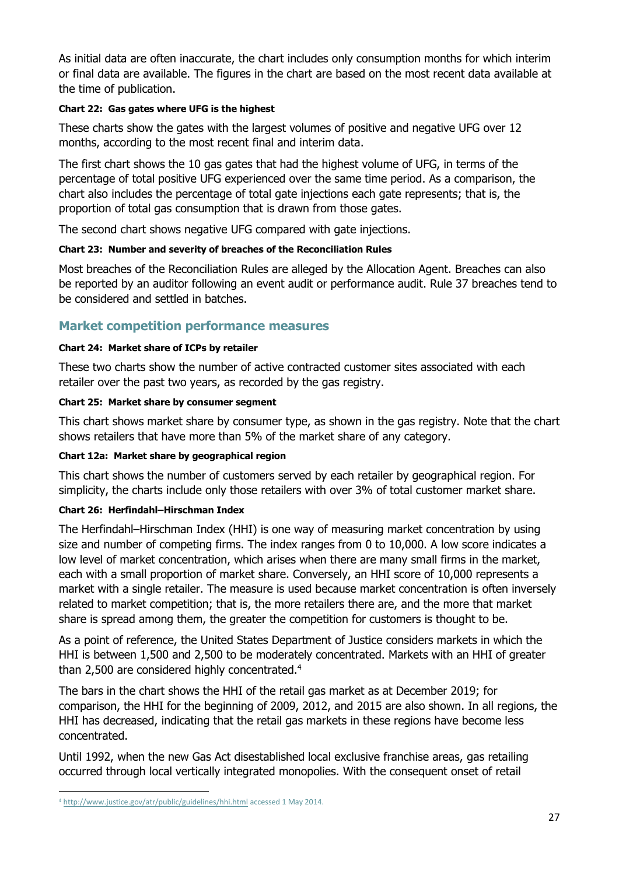As initial data are often inaccurate, the chart includes only consumption months for which interim or final data are available. The figures in the chart are based on the most recent data available at the time of publication.

## **Chart 22: Gas gates where UFG is the highest**

These charts show the gates with the largest volumes of positive and negative UFG over 12 months, according to the most recent final and interim data.

The first chart shows the 10 gas gates that had the highest volume of UFG, in terms of the percentage of total positive UFG experienced over the same time period. As a comparison, the chart also includes the percentage of total gate injections each gate represents; that is, the proportion of total gas consumption that is drawn from those gates.

The second chart shows negative UFG compared with gate injections.

#### **Chart 23: Number and severity of breaches of the Reconciliation Rules**

Most breaches of the Reconciliation Rules are alleged by the Allocation Agent. Breaches can also be reported by an auditor following an event audit or performance audit. Rule 37 breaches tend to be considered and settled in batches.

## **Market competition performance measures**

#### **Chart 24: Market share of ICPs by retailer**

These two charts show the number of active contracted customer sites associated with each retailer over the past two years, as recorded by the gas registry.

#### **Chart 25: Market share by consumer segment**

This chart shows market share by consumer type, as shown in the gas registry. Note that the chart shows retailers that have more than 5% of the market share of any category.

#### **Chart 12a: Market share by geographical region**

This chart shows the number of customers served by each retailer by geographical region. For simplicity, the charts include only those retailers with over 3% of total customer market share.

#### **Chart 26: Herfindahl–Hirschman Index**

The Herfindahl–Hirschman Index (HHI) is one way of measuring market concentration by using size and number of competing firms. The index ranges from 0 to 10,000. A low score indicates a low level of market concentration, which arises when there are many small firms in the market, each with a small proportion of market share. Conversely, an HHI score of 10,000 represents a market with a single retailer. The measure is used because market concentration is often inversely related to market competition; that is, the more retailers there are, and the more that market share is spread among them, the greater the competition for customers is thought to be.

As a point of reference, the United States Department of Justice considers markets in which the HHI is between 1,500 and 2,500 to be moderately concentrated. Markets with an HHI of greater than 2,500 are considered highly concentrated.<sup>4</sup>

The bars in the chart shows the HHI of the retail gas market as at December 2019; for comparison, the HHI for the beginning of 2009, 2012, and 2015 are also shown. In all regions, the HHI has decreased, indicating that the retail gas markets in these regions have become less concentrated.

Until 1992, when the new Gas Act disestablished local exclusive franchise areas, gas retailing occurred through local vertically integrated monopolies. With the consequent onset of retail

<sup>4</sup> <http://www.justice.gov/atr/public/guidelines/hhi.html> accessed 1 May 2014.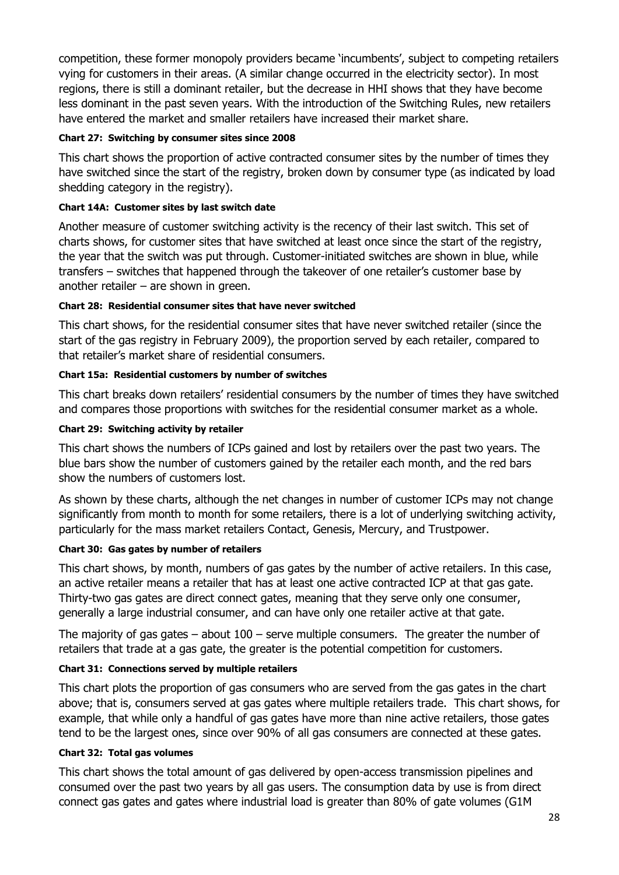competition, these former monopoly providers became 'incumbents', subject to competing retailers vying for customers in their areas. (A similar change occurred in the electricity sector). In most regions, there is still a dominant retailer, but the decrease in HHI shows that they have become less dominant in the past seven years. With the introduction of the Switching Rules, new retailers have entered the market and smaller retailers have increased their market share.

## **Chart 27: Switching by consumer sites since 2008**

This chart shows the proportion of active contracted consumer sites by the number of times they have switched since the start of the registry, broken down by consumer type (as indicated by load shedding category in the registry).

## **Chart 14A: Customer sites by last switch date**

Another measure of customer switching activity is the recency of their last switch. This set of charts shows, for customer sites that have switched at least once since the start of the registry, the year that the switch was put through. Customer-initiated switches are shown in blue, while transfers – switches that happened through the takeover of one retailer's customer base by another retailer  $-$  are shown in green.

#### **Chart 28: Residential consumer sites that have never switched**

This chart shows, for the residential consumer sites that have never switched retailer (since the start of the gas registry in February 2009), the proportion served by each retailer, compared to that retailer's market share of residential consumers.

## **Chart 15a: Residential customers by number of switches**

This chart breaks down retailers' residential consumers by the number of times they have switched and compares those proportions with switches for the residential consumer market as a whole.

## **Chart 29: Switching activity by retailer**

This chart shows the numbers of ICPs gained and lost by retailers over the past two years. The blue bars show the number of customers gained by the retailer each month, and the red bars show the numbers of customers lost.

As shown by these charts, although the net changes in number of customer ICPs may not change significantly from month to month for some retailers, there is a lot of underlying switching activity, particularly for the mass market retailers Contact, Genesis, Mercury, and Trustpower.

#### **Chart 30: Gas gates by number of retailers**

This chart shows, by month, numbers of gas gates by the number of active retailers. In this case, an active retailer means a retailer that has at least one active contracted ICP at that gas gate. Thirty-two gas gates are direct connect gates, meaning that they serve only one consumer, generally a large industrial consumer, and can have only one retailer active at that gate.

The majority of gas gates – about  $100$  – serve multiple consumers. The greater the number of retailers that trade at a gas gate, the greater is the potential competition for customers.

## **Chart 31: Connections served by multiple retailers**

This chart plots the proportion of gas consumers who are served from the gas gates in the chart above; that is, consumers served at gas gates where multiple retailers trade. This chart shows, for example, that while only a handful of gas gates have more than nine active retailers, those gates tend to be the largest ones, since over 90% of all gas consumers are connected at these gates.

#### **Chart 32: Total gas volumes**

This chart shows the total amount of gas delivered by open-access transmission pipelines and consumed over the past two years by all gas users. The consumption data by use is from direct connect gas gates and gates where industrial load is greater than 80% of gate volumes (G1M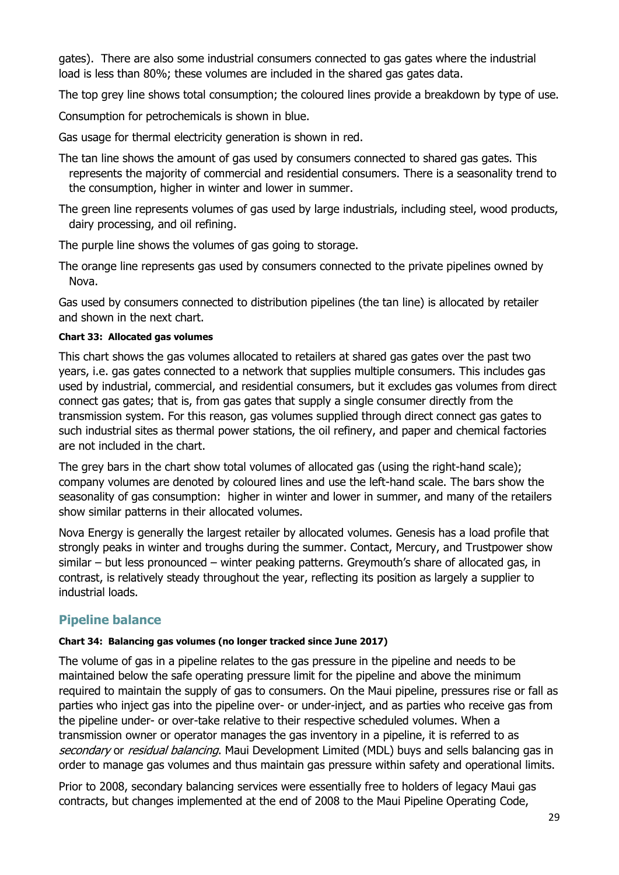gates). There are also some industrial consumers connected to gas gates where the industrial load is less than 80%; these volumes are included in the shared gas gates data.

The top grey line shows total consumption; the coloured lines provide a breakdown by type of use.

Consumption for petrochemicals is shown in blue.

Gas usage for thermal electricity generation is shown in red.

The tan line shows the amount of gas used by consumers connected to shared gas gates. This represents the majority of commercial and residential consumers. There is a seasonality trend to the consumption, higher in winter and lower in summer.

The green line represents volumes of gas used by large industrials, including steel, wood products, dairy processing, and oil refining.

The purple line shows the volumes of gas going to storage.

The orange line represents gas used by consumers connected to the private pipelines owned by Nova.

Gas used by consumers connected to distribution pipelines (the tan line) is allocated by retailer and shown in the next chart.

## **Chart 33: Allocated gas volumes**

This chart shows the gas volumes allocated to retailers at shared gas gates over the past two years, i.e. gas gates connected to a network that supplies multiple consumers. This includes gas used by industrial, commercial, and residential consumers, but it excludes gas volumes from direct connect gas gates; that is, from gas gates that supply a single consumer directly from the transmission system. For this reason, gas volumes supplied through direct connect gas gates to such industrial sites as thermal power stations, the oil refinery, and paper and chemical factories are not included in the chart.

The grey bars in the chart show total volumes of allocated gas (using the right-hand scale); company volumes are denoted by coloured lines and use the left-hand scale. The bars show the seasonality of gas consumption: higher in winter and lower in summer, and many of the retailers show similar patterns in their allocated volumes.

Nova Energy is generally the largest retailer by allocated volumes. Genesis has a load profile that strongly peaks in winter and troughs during the summer. Contact, Mercury, and Trustpower show similar – but less pronounced – winter peaking patterns. Greymouth's share of allocated gas, in contrast, is relatively steady throughout the year, reflecting its position as largely a supplier to industrial loads.

# **Pipeline balance**

## **Chart 34: Balancing gas volumes (no longer tracked since June 2017)**

The volume of gas in a pipeline relates to the gas pressure in the pipeline and needs to be maintained below the safe operating pressure limit for the pipeline and above the minimum required to maintain the supply of gas to consumers. On the Maui pipeline, pressures rise or fall as parties who inject gas into the pipeline over- or under-inject, and as parties who receive gas from the pipeline under- or over-take relative to their respective scheduled volumes. When a transmission owner or operator manages the gas inventory in a pipeline, it is referred to as secondary or residual balancing. Maui Development Limited (MDL) buys and sells balancing gas in order to manage gas volumes and thus maintain gas pressure within safety and operational limits.

Prior to 2008, secondary balancing services were essentially free to holders of legacy Maui gas contracts, but changes implemented at the end of 2008 to the Maui Pipeline Operating Code,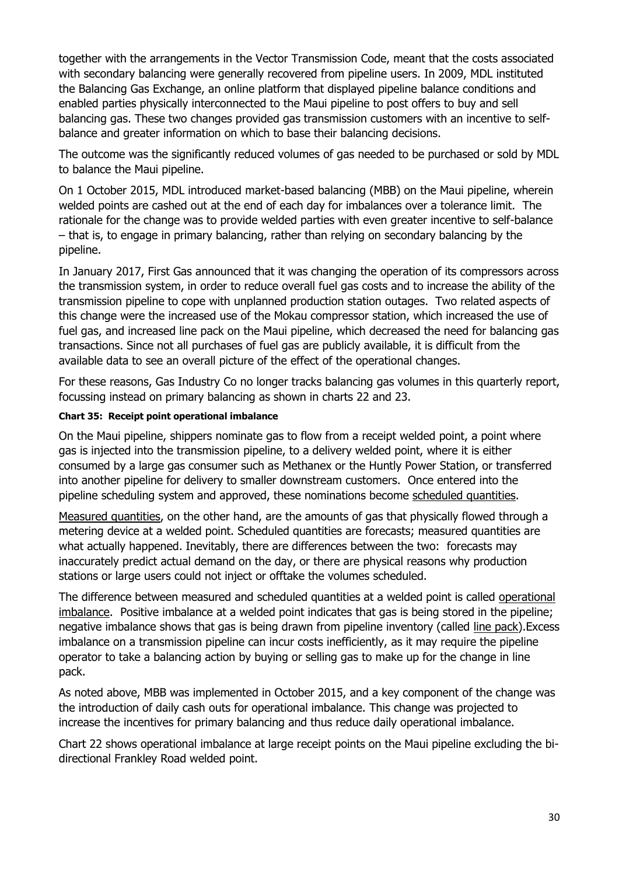together with the arrangements in the Vector Transmission Code, meant that the costs associated with secondary balancing were generally recovered from pipeline users. In 2009, MDL instituted the Balancing Gas Exchange, an online platform that displayed pipeline balance conditions and enabled parties physically interconnected to the Maui pipeline to post offers to buy and sell balancing gas. These two changes provided gas transmission customers with an incentive to selfbalance and greater information on which to base their balancing decisions.

The outcome was the significantly reduced volumes of gas needed to be purchased or sold by MDL to balance the Maui pipeline.

On 1 October 2015, MDL introduced market-based balancing (MBB) on the Maui pipeline, wherein welded points are cashed out at the end of each day for imbalances over a tolerance limit. The rationale for the change was to provide welded parties with even greater incentive to self-balance – that is, to engage in primary balancing, rather than relying on secondary balancing by the pipeline.

In January 2017, First Gas announced that it was changing the operation of its compressors across the transmission system, in order to reduce overall fuel gas costs and to increase the ability of the transmission pipeline to cope with unplanned production station outages. Two related aspects of this change were the increased use of the Mokau compressor station, which increased the use of fuel gas, and increased line pack on the Maui pipeline, which decreased the need for balancing gas transactions. Since not all purchases of fuel gas are publicly available, it is difficult from the available data to see an overall picture of the effect of the operational changes.

For these reasons, Gas Industry Co no longer tracks balancing gas volumes in this quarterly report, focussing instead on primary balancing as shown in charts 22 and 23.

## **Chart 35: Receipt point operational imbalance**

On the Maui pipeline, shippers nominate gas to flow from a receipt welded point, a point where gas is injected into the transmission pipeline, to a delivery welded point, where it is either consumed by a large gas consumer such as Methanex or the Huntly Power Station, or transferred into another pipeline for delivery to smaller downstream customers. Once entered into the pipeline scheduling system and approved, these nominations become scheduled quantities.

Measured quantities, on the other hand, are the amounts of gas that physically flowed through a metering device at a welded point. Scheduled quantities are forecasts; measured quantities are what actually happened. Inevitably, there are differences between the two: forecasts may inaccurately predict actual demand on the day, or there are physical reasons why production stations or large users could not inject or offtake the volumes scheduled.

The difference between measured and scheduled quantities at a welded point is called operational imbalance. Positive imbalance at a welded point indicates that gas is being stored in the pipeline; negative imbalance shows that gas is being drawn from pipeline inventory (called line pack).Excess imbalance on a transmission pipeline can incur costs inefficiently, as it may require the pipeline operator to take a balancing action by buying or selling gas to make up for the change in line pack.

As noted above, MBB was implemented in October 2015, and a key component of the change was the introduction of daily cash outs for operational imbalance. This change was projected to increase the incentives for primary balancing and thus reduce daily operational imbalance.

Chart 22 shows operational imbalance at large receipt points on the Maui pipeline excluding the bidirectional Frankley Road welded point.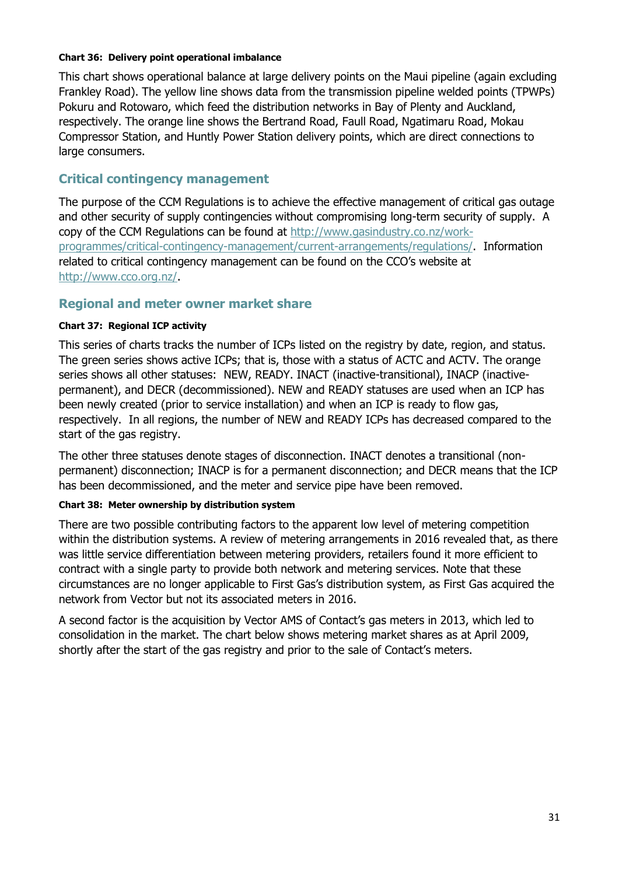#### **Chart 36: Delivery point operational imbalance**

This chart shows operational balance at large delivery points on the Maui pipeline (again excluding Frankley Road). The yellow line shows data from the transmission pipeline welded points (TPWPs) Pokuru and Rotowaro, which feed the distribution networks in Bay of Plenty and Auckland, respectively. The orange line shows the Bertrand Road, Faull Road, Ngatimaru Road, Mokau Compressor Station, and Huntly Power Station delivery points, which are direct connections to large consumers.

## **Critical contingency management**

The purpose of the CCM Regulations is to achieve the effective management of critical gas outage and other security of supply contingencies without compromising long-term security of supply. A copy of the CCM Regulations can be found at [http://www.gasindustry.co.nz/work](http://www.gasindustry.co.nz/work-programmes/critical-contingency-management/current-arrangements/regulations/)[programmes/critical-contingency-management/current-arrangements/regulations/.](http://www.gasindustry.co.nz/work-programmes/critical-contingency-management/current-arrangements/regulations/) Information related to critical contingency management can be found on the CCO's website at [http://www.cco.org.nz/.](http://www.cco.org.nz/)

## **Regional and meter owner market share**

## **Chart 37: Regional ICP activity**

This series of charts tracks the number of ICPs listed on the registry by date, region, and status. The green series shows active ICPs; that is, those with a status of ACTC and ACTV. The orange series shows all other statuses: NEW, READY. INACT (inactive-transitional), INACP (inactivepermanent), and DECR (decommissioned). NEW and READY statuses are used when an ICP has been newly created (prior to service installation) and when an ICP is ready to flow gas, respectively. In all regions, the number of NEW and READY ICPs has decreased compared to the start of the gas registry.

The other three statuses denote stages of disconnection. INACT denotes a transitional (nonpermanent) disconnection; INACP is for a permanent disconnection; and DECR means that the ICP has been decommissioned, and the meter and service pipe have been removed.

#### **Chart 38: Meter ownership by distribution system**

There are two possible contributing factors to the apparent low level of metering competition within the distribution systems. A review of metering arrangements in 2016 revealed that, as there was little service differentiation between metering providers, retailers found it more efficient to contract with a single party to provide both network and metering services. Note that these circumstances are no longer applicable to First Gas's distribution system, as First Gas acquired the network from Vector but not its associated meters in 2016.

A second factor is the acquisition by Vector AMS of Contact's gas meters in 2013, which led to consolidation in the market. The chart below shows metering market shares as at April 2009, shortly after the start of the gas registry and prior to the sale of Contact's meters.